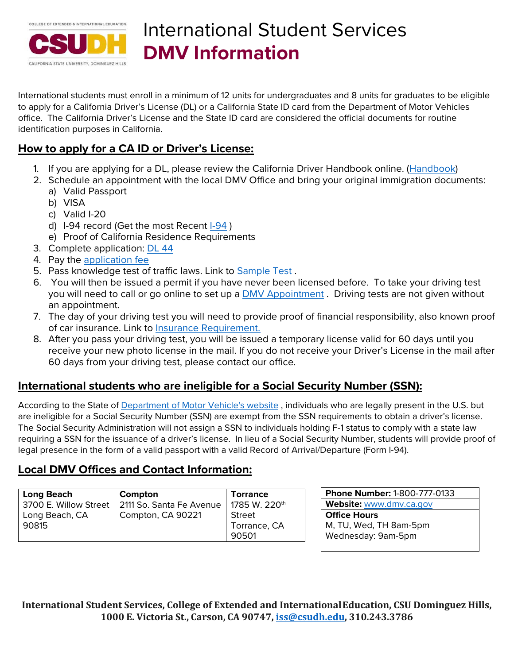

# International Student Services **DMV Information**

International students must enroll in a minimum of 12 units for undergraduates and 8 units for graduates to be eligible to apply for a California Driver's License (DL) or a California State ID card from the Department of Motor Vehicles office. The California Driver's License and the State ID card are considered the official documents for routine identification purposes in California.

## **How to apply for a CA ID or Driver's License:**

- 1. If you are applying for a DL, please review the California Driver Handbook online. [\(Handbook\)](https://www.dmv.ca.gov/portal/dmv/detail/pubs/pubs)
- 2. Schedule an appointment with the local DMV Office and bring your original immigration documents: a) Valid Passport
	- b) VISA
	- c) Valid I-20
	- d) [I-94](https://i94.cbp.dhs.gov/I94/#section) record (Get the most Recent I-94)
	- e) Proof of California Residence Requirements
- 3. Complete application: [DL 44](https://www.dmv.ca.gov/portal/driver-licenses-identification-cards/licensing-fees/)
- 4. Pay the [application fee](https://www.dmv.ca.gov/portal/driver-licenses-identification-cards/licensing-fees/)
- 5. Pass knowledge test of traffic laws. Link to [Sample Test](http://www.dmv.ca.gov/pubs/interactive/tdrive/exam.htm) .
- 6. You will then be issued a permit if you have never been licensed before. To take your driving test you will need to call or go online to set up a [DMV Appointment](http://www.dmv.ca.gov/foa.welcome.do). Driving tests are not given without an appointment.
- 7. The day of your driving test you will need to provide proof of financial responsibility, also known proof of car insurance. Link to [Insurance Requirement.](https://www.dmv.ca.gov/portal/driver-education-and-safety/educational-materials/)
- 8. After you pass your driving test, you will be issued a temporary license valid for 60 days until you receive your new photo license in the mail. If you do not receive your Driver's License in the mail after 60 days from your driving test, please contact our office.

#### **International students who are ineligible for a Social Security Number (SSN):**

According to the State of [Department of Motor Vehicle's website](http://www.dmv.ca.gov/dl/dl.htm) , individuals who are legally present in the U.S. but are ineligible for a Social Security Number (SSN) are exempt from the SSN requirements to obtain a driver's license. The Social Security Administration will not assign a SSN to individuals holding F-1 status to comply with a state law requiring a SSN for the issuance of a driver's license. In lieu of a Social Security Number, students will provide proof of legal presence in the form of a valid passport with a valid Record of Arrival/Departure (Form I-94).

#### **Local DMV Offices and Contact Information:**

| <b>Long Beach</b>     | Compton                  | <b>Torrance</b>           | <b>Phone Number: 1-800-777-0133</b> |
|-----------------------|--------------------------|---------------------------|-------------------------------------|
| 3700 E. Willow Street | 2111 So. Santa Fe Avenue | 1785 W. 220 <sup>th</sup> | Website: www.dmv.ca.gov             |
| Long Beach, CA        | Compton, CA 90221        | Street                    | <b>Office Hours</b>                 |
| 90815                 |                          | Torrance, CA              | M, TU, Wed, TH 8am-5pm              |
|                       |                          | 90501                     | Wednesday: 9am-5pm                  |

**International Student Services, College of Extended and InternationalEducation, CSU Dominguez Hills, 1000 E. Victoria St., Carson, CA 90747, [iss@csudh.edu,](mailto:iss@csudh.edu) 310.243.3786**